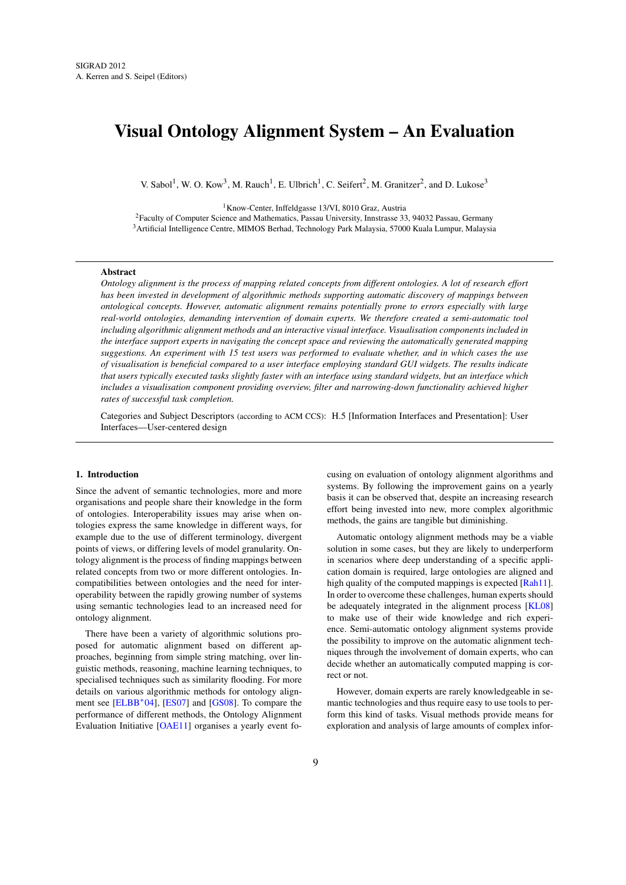# <span id="page-0-0"></span>Visual Ontology Alignment System – An Evaluation

V. Sabol<sup>1</sup>, W. O. Kow<sup>3</sup>, M. Rauch<sup>1</sup>, E. Ulbrich<sup>1</sup>, C. Seifert<sup>2</sup>, M. Granitzer<sup>2</sup>, and D. Lukose<sup>3</sup>

<sup>1</sup>Know-Center, Inffeldgasse 13/VI, 8010 Graz, Austria

<sup>2</sup>Faculty of Computer Science and Mathematics, Passau University, Innstrasse 33, 94032 Passau, Germany <sup>3</sup> Artificial Intelligence Centre, MIMOS Berhad, Technology Park Malaysia, 57000 Kuala Lumpur, Malaysia

## Abstract

*Ontology alignment is the process of mapping related concepts from different ontologies. A lot of research effort has been invested in development of algorithmic methods supporting automatic discovery of mappings between ontological concepts. However, automatic alignment remains potentially prone to errors especially with large real-world ontologies, demanding intervention of domain experts. We therefore created a semi-automatic tool including algorithmic alignment methods and an interactive visual interface. Visualisation components included in the interface support experts in navigating the concept space and reviewing the automatically generated mapping suggestions. An experiment with 15 test users was performed to evaluate whether, and in which cases the use of visualisation is beneficial compared to a user interface employing standard GUI widgets. The results indicate that users typically executed tasks slightly faster with an interface using standard widgets, but an interface which includes a visualisation component providing overview, filter and narrowing-down functionality achieved higher rates of successful task completion.*

Categories and Subject Descriptors (according to ACM CCS): H.5 [Information Interfaces and Presentation]: User Interfaces—User-centered design

#### 1. Introduction

Since the advent of semantic technologies, more and more organisations and people share their knowledge in the form of ontologies. Interoperability issues may arise when ontologies express the same knowledge in different ways, for example due to the use of different terminology, divergent points of views, or differing levels of model granularity. Ontology alignment is the process of finding mappings between related concepts from two or more different ontologies. Incompatibilities between ontologies and the need for interoperability between the rapidly growing number of systems using semantic technologies lead to an increased need for ontology alignment.

There have been a variety of algorithmic solutions proposed for automatic alignment based on different approaches, beginning from simple string matching, over linguistic methods, reasoning, machine learning techniques, to specialised techniques such as similarity flooding. For more details on various algorithmic methods for ontology align-ment see [\[ELBB](#page-9-0)<sup>\*</sup>04], [\[ES07\]](#page-9-1) and [\[GS08\]](#page-9-2). To compare the performance of different methods, the Ontology Alignment Evaluation Initiative [\[OAE11\]](#page-9-3) organises a yearly event fo-

cusing on evaluation of ontology alignment algorithms and systems. By following the improvement gains on a yearly basis it can be observed that, despite an increasing research effort being invested into new, more complex algorithmic methods, the gains are tangible but diminishing.

Automatic ontology alignment methods may be a viable solution in some cases, but they are likely to underperform in scenarios where deep understanding of a specific application domain is required, large ontologies are aligned and high quality of the computed mappings is expected [\[Rah11\]](#page-9-4). In order to overcome these challenges, human experts should be adequately integrated in the alignment process [\[KL08\]](#page-9-5) to make use of their wide knowledge and rich experience. Semi-automatic ontology alignment systems provide the possibility to improve on the automatic alignment techniques through the involvement of domain experts, who can decide whether an automatically computed mapping is correct or not.

However, domain experts are rarely knowledgeable in semantic technologies and thus require easy to use tools to perform this kind of tasks. Visual methods provide means for exploration and analysis of large amounts of complex infor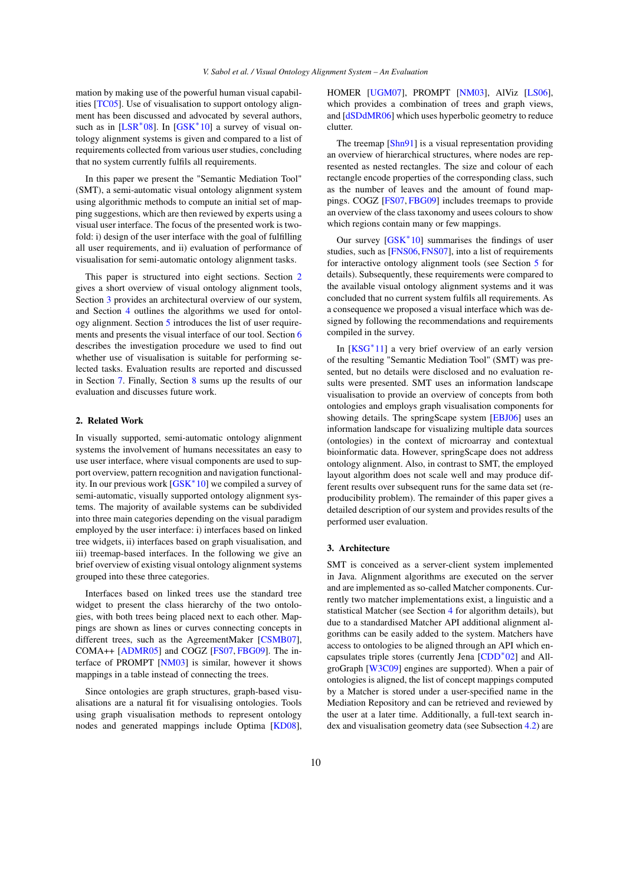<span id="page-1-2"></span>mation by making use of the powerful human visual capabilities [\[TC05\]](#page-9-6). Use of visualisation to support ontology alignment has been discussed and advocated by several authors, such as in  $[LSR*08]$  $[LSR*08]$ . In  $[GSK*10]$  $[GSK*10]$  a survey of visual ontology alignment systems is given and compared to a list of requirements collected from various user studies, concluding that no system currently fulfils all requirements.

In this paper we present the "Semantic Mediation Tool" (SMT), a semi-automatic visual ontology alignment system using algorithmic methods to compute an initial set of mapping suggestions, which are then reviewed by experts using a visual user interface. The focus of the presented work is twofold: i) design of the user interface with the goal of fulfilling all user requirements, and ii) evaluation of performance of visualisation for semi-automatic ontology alignment tasks.

This paper is structured into eight sections. Section [2](#page-1-0) gives a short overview of visual ontology alignment tools, Section [3](#page-1-1) provides an architectural overview of our system, and Section [4](#page-2-0) outlines the algorithms we used for ontology alignment. Section [5](#page-3-0) introduces the list of user requirements and presents the visual interface of our tool. Section [6](#page-5-0) describes the investigation procedure we used to find out whether use of visualisation is suitable for performing selected tasks. Evaluation results are reported and discussed in Section [7.](#page-6-0) Finally, Section [8](#page-8-0) sums up the results of our evaluation and discusses future work.

# <span id="page-1-0"></span>2. Related Work

In visually supported, semi-automatic ontology alignment systems the involvement of humans necessitates an easy to use user interface, where visual components are used to support overview, pattern recognition and navigation functionality. In our previous work [\[GSK](#page-9-8)<sup>∗</sup> 10] we compiled a survey of semi-automatic, visually supported ontology alignment systems. The majority of available systems can be subdivided into three main categories depending on the visual paradigm employed by the user interface: i) interfaces based on linked tree widgets, ii) interfaces based on graph visualisation, and iii) treemap-based interfaces. In the following we give an brief overview of existing visual ontology alignment systems grouped into these three categories.

Interfaces based on linked trees use the standard tree widget to present the class hierarchy of the two ontologies, with both trees being placed next to each other. Mappings are shown as lines or curves connecting concepts in different trees, such as the AgreementMaker [\[CSMB07\]](#page-9-9), COMA++ [\[ADMR05\]](#page-9-10) and COGZ [\[FS07,](#page-9-11) [FBG09\]](#page-9-12). The interface of PROMPT [\[NM03\]](#page-9-13) is similar, however it shows mappings in a table instead of connecting the trees.

Since ontologies are graph structures, graph-based visualisations are a natural fit for visualising ontologies. Tools using graph visualisation methods to represent ontology nodes and generated mappings include Optima [\[KD08\]](#page-9-14),

HOMER [\[UGM07\]](#page-9-15), PROMPT [\[NM03\]](#page-9-13), AlViz [\[LS06\]](#page-9-16), which provides a combination of trees and graph views, and [\[dSDdMR06\]](#page-9-17) which uses hyperbolic geometry to reduce clutter.

The treemap [\[Shn91\]](#page-9-18) is a visual representation providing an overview of hierarchical structures, where nodes are represented as nested rectangles. The size and colour of each rectangle encode properties of the corresponding class, such as the number of leaves and the amount of found mappings. COGZ [\[FS07,](#page-9-11) [FBG09\]](#page-9-12) includes treemaps to provide an overview of the class taxonomy and usees colours to show which regions contain many or few mappings.

Our survey  $[GSK^*10]$  $[GSK^*10]$  summarises the findings of user studies, such as [\[FNS06,](#page-9-19)[FNS07\]](#page-9-20), into a list of requirements for interactive ontology alignment tools (see Section [5](#page-3-0) for details). Subsequently, these requirements were compared to the available visual ontology alignment systems and it was concluded that no current system fulfils all requirements. As a consequence we proposed a visual interface which was designed by following the recommendations and requirements compiled in the survey.

In [\[KSG](#page-9-21)<sup>\*</sup>11] a very brief overview of an early version of the resulting "Semantic Mediation Tool" (SMT) was presented, but no details were disclosed and no evaluation results were presented. SMT uses an information landscape visualisation to provide an overview of concepts from both ontologies and employs graph visualisation components for showing details. The springScape system [\[EBJ06\]](#page-9-22) uses an information landscape for visualizing multiple data sources (ontologies) in the context of microarray and contextual bioinformatic data. However, springScape does not address ontology alignment. Also, in contrast to SMT, the employed layout algorithm does not scale well and may produce different results over subsequent runs for the same data set (reproducibility problem). The remainder of this paper gives a detailed description of our system and provides results of the performed user evaluation.

## <span id="page-1-1"></span>3. Architecture

SMT is conceived as a server-client system implemented in Java. Alignment algorithms are executed on the server and are implemented as so-called Matcher components. Currently two matcher implementations exist, a linguistic and a statistical Matcher (see Section [4](#page-2-0) for algorithm details), but due to a standardised Matcher API additional alignment algorithms can be easily added to the system. Matchers have access to ontologies to be aligned through an API which encapsulates triple stores (currently Jena [\[CDD](#page-9-23)<sup>∗</sup> 02] and AllgroGraph [\[W3C09\]](#page-9-24) engines are supported). When a pair of ontologies is aligned, the list of concept mappings computed by a Matcher is stored under a user-specified name in the Mediation Repository and can be retrieved and reviewed by the user at a later time. Additionally, a full-text search index and visualisation geometry data (see Subsection [4.2\)](#page-2-1) are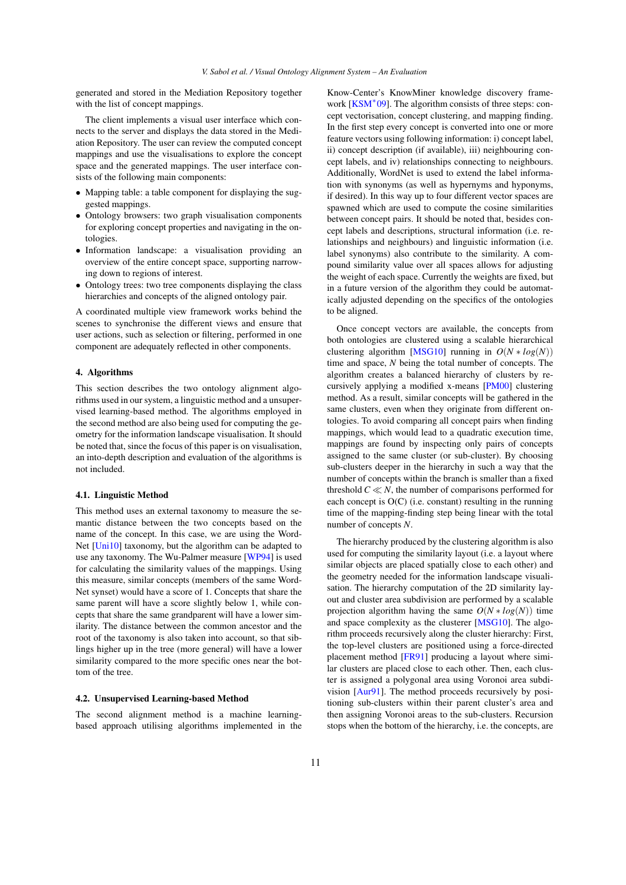<span id="page-2-2"></span>generated and stored in the Mediation Repository together with the list of concept mappings.

The client implements a visual user interface which connects to the server and displays the data stored in the Mediation Repository. The user can review the computed concept mappings and use the visualisations to explore the concept space and the generated mappings. The user interface consists of the following main components:

- Mapping table: a table component for displaying the suggested mappings.
- Ontology browsers: two graph visualisation components for exploring concept properties and navigating in the ontologies.
- Information landscape: a visualisation providing an overview of the entire concept space, supporting narrowing down to regions of interest.
- Ontology trees: two tree components displaying the class hierarchies and concepts of the aligned ontology pair.

A coordinated multiple view framework works behind the scenes to synchronise the different views and ensure that user actions, such as selection or filtering, performed in one component are adequately reflected in other components.

## <span id="page-2-0"></span>4. Algorithms

This section describes the two ontology alignment algorithms used in our system, a linguistic method and a unsupervised learning-based method. The algorithms employed in the second method are also being used for computing the geometry for the information landscape visualisation. It should be noted that, since the focus of this paper is on visualisation, an into-depth description and evaluation of the algorithms is not included.

#### 4.1. Linguistic Method

This method uses an external taxonomy to measure the semantic distance between the two concepts based on the name of the concept. In this case, we are using the Word-Net [\[Uni10\]](#page-9-25) taxonomy, but the algorithm can be adapted to use any taxonomy. The Wu-Palmer measure [\[WP94\]](#page-9-26) is used for calculating the similarity values of the mappings. Using this measure, similar concepts (members of the same Word-Net synset) would have a score of 1. Concepts that share the same parent will have a score slightly below 1, while concepts that share the same grandparent will have a lower similarity. The distance between the common ancestor and the root of the taxonomy is also taken into account, so that siblings higher up in the tree (more general) will have a lower similarity compared to the more specific ones near the bottom of the tree.

### <span id="page-2-1"></span>4.2. Unsupervised Learning-based Method

The second alignment method is a machine learningbased approach utilising algorithms implemented in the

Know-Center's KnowMiner knowledge discovery frame-work [\[KSM](#page-9-27)<sup>\*</sup>09]. The algorithm consists of three steps: concept vectorisation, concept clustering, and mapping finding. In the first step every concept is converted into one or more feature vectors using following information: i) concept label, ii) concept description (if available), iii) neighbouring concept labels, and iv) relationships connecting to neighbours. Additionally, WordNet is used to extend the label information with synonyms (as well as hypernyms and hyponyms, if desired). In this way up to four different vector spaces are spawned which are used to compute the cosine similarities between concept pairs. It should be noted that, besides concept labels and descriptions, structural information (i.e. relationships and neighbours) and linguistic information (i.e. label synonyms) also contribute to the similarity. A compound similarity value over all spaces allows for adjusting the weight of each space. Currently the weights are fixed, but in a future version of the algorithm they could be automatically adjusted depending on the specifics of the ontologies to be aligned.

Once concept vectors are available, the concepts from both ontologies are clustered using a scalable hierarchical clustering algorithm [\[MSG10\]](#page-9-28) running in  $O(N * log(N))$ time and space, *N* being the total number of concepts. The algorithm creates a balanced hierarchy of clusters by recursively applying a modified x-means [\[PM00\]](#page-9-29) clustering method. As a result, similar concepts will be gathered in the same clusters, even when they originate from different ontologies. To avoid comparing all concept pairs when finding mappings, which would lead to a quadratic execution time, mappings are found by inspecting only pairs of concepts assigned to the same cluster (or sub-cluster). By choosing sub-clusters deeper in the hierarchy in such a way that the number of concepts within the branch is smaller than a fixed threshold  $C \ll N$ , the number of comparisons performed for each concept is O(C) (i.e. constant) resulting in the running time of the mapping-finding step being linear with the total number of concepts *N*.

The hierarchy produced by the clustering algorithm is also used for computing the similarity layout (i.e. a layout where similar objects are placed spatially close to each other) and the geometry needed for the information landscape visualisation. The hierarchy computation of the 2D similarity layout and cluster area subdivision are performed by a scalable projection algorithm having the same  $O(N * log(N))$  time and space complexity as the clusterer [\[MSG10\]](#page-9-28). The algorithm proceeds recursively along the cluster hierarchy: First, the top-level clusters are positioned using a force-directed placement method [\[FR91\]](#page-9-30) producing a layout where similar clusters are placed close to each other. Then, each cluster is assigned a polygonal area using Voronoi area subdivision [\[Aur91\]](#page-9-31). The method proceeds recursively by positioning sub-clusters within their parent cluster's area and then assigning Voronoi areas to the sub-clusters. Recursion stops when the bottom of the hierarchy, i.e. the concepts, are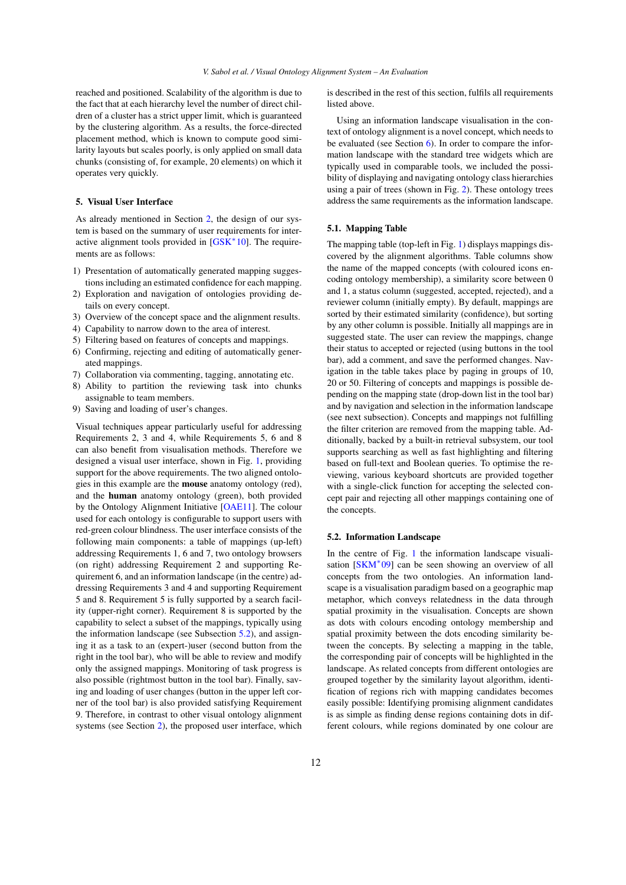<span id="page-3-2"></span>reached and positioned. Scalability of the algorithm is due to the fact that at each hierarchy level the number of direct children of a cluster has a strict upper limit, which is guaranteed by the clustering algorithm. As a results, the force-directed placement method, which is known to compute good similarity layouts but scales poorly, is only applied on small data chunks (consisting of, for example, 20 elements) on which it operates very quickly.

# <span id="page-3-0"></span>5. Visual User Interface

As already mentioned in Section [2,](#page-1-0) the design of our system is based on the summary of user requirements for inter-active alignment tools provided in [\[GSK](#page-9-8)<sup>\*</sup>10]. The requirements are as follows:

- 1) Presentation of automatically generated mapping suggestions including an estimated confidence for each mapping.
- 2) Exploration and navigation of ontologies providing details on every concept.
- 3) Overview of the concept space and the alignment results.
- 4) Capability to narrow down to the area of interest.
- 5) Filtering based on features of concepts and mappings.
- 6) Confirming, rejecting and editing of automatically generated mappings.
- 7) Collaboration via commenting, tagging, annotating etc.
- 8) Ability to partition the reviewing task into chunks assignable to team members.
- 9) Saving and loading of user's changes.

Visual techniques appear particularly useful for addressing Requirements 2, 3 and 4, while Requirements 5, 6 and 8 can also benefit from visualisation methods. Therefore we designed a visual user interface, shown in Fig. [1,](#page-4-0) providing support for the above requirements. The two aligned ontologies in this example are the mouse anatomy ontology (red), and the human anatomy ontology (green), both provided by the Ontology Alignment Initiative [\[OAE11\]](#page-9-3). The colour used for each ontology is configurable to support users with red-green colour blindness. The user interface consists of the following main components: a table of mappings (up-left) addressing Requirements 1, 6 and 7, two ontology browsers (on right) addressing Requirement 2 and supporting Requirement 6, and an information landscape (in the centre) addressing Requirements 3 and 4 and supporting Requirement 5 and 8. Requirement 5 is fully supported by a search facility (upper-right corner). Requirement 8 is supported by the capability to select a subset of the mappings, typically using the information landscape (see Subsection [5.2\)](#page-3-1), and assigning it as a task to an (expert-)user (second button from the right in the tool bar), who will be able to review and modify only the assigned mappings. Monitoring of task progress is also possible (rightmost button in the tool bar). Finally, saving and loading of user changes (button in the upper left corner of the tool bar) is also provided satisfying Requirement 9. Therefore, in contrast to other visual ontology alignment systems (see Section [2\)](#page-1-0), the proposed user interface, which is described in the rest of this section, fulfils all requirements listed above.

Using an information landscape visualisation in the context of ontology alignment is a novel concept, which needs to be evaluated (see Section [6\)](#page-5-0). In order to compare the information landscape with the standard tree widgets which are typically used in comparable tools, we included the possibility of displaying and navigating ontology class hierarchies using a pair of trees (shown in Fig. [2\)](#page-5-1). These ontology trees address the same requirements as the information landscape.

#### 5.1. Mapping Table

The mapping table (top-left in Fig. [1\)](#page-4-0) displays mappings discovered by the alignment algorithms. Table columns show the name of the mapped concepts (with coloured icons encoding ontology membership), a similarity score between 0 and 1, a status column (suggested, accepted, rejected), and a reviewer column (initially empty). By default, mappings are sorted by their estimated similarity (confidence), but sorting by any other column is possible. Initially all mappings are in suggested state. The user can review the mappings, change their status to accepted or rejected (using buttons in the tool bar), add a comment, and save the performed changes. Navigation in the table takes place by paging in groups of 10, 20 or 50. Filtering of concepts and mappings is possible depending on the mapping state (drop-down list in the tool bar) and by navigation and selection in the information landscape (see next subsection). Concepts and mappings not fulfilling the filter criterion are removed from the mapping table. Additionally, backed by a built-in retrieval subsystem, our tool supports searching as well as fast highlighting and filtering based on full-text and Boolean queries. To optimise the reviewing, various keyboard shortcuts are provided together with a single-click function for accepting the selected concept pair and rejecting all other mappings containing one of the concepts.

## <span id="page-3-1"></span>5.2. Information Landscape

In the centre of Fig. [1](#page-4-0) the information landscape visuali-sation [\[SKM](#page-9-32)<sup>\*</sup>09] can be seen showing an overview of all concepts from the two ontologies. An information landscape is a visualisation paradigm based on a geographic map metaphor, which conveys relatedness in the data through spatial proximity in the visualisation. Concepts are shown as dots with colours encoding ontology membership and spatial proximity between the dots encoding similarity between the concepts. By selecting a mapping in the table, the corresponding pair of concepts will be highlighted in the landscape. As related concepts from different ontologies are grouped together by the similarity layout algorithm, identification of regions rich with mapping candidates becomes easily possible: Identifying promising alignment candidates is as simple as finding dense regions containing dots in different colours, while regions dominated by one colour are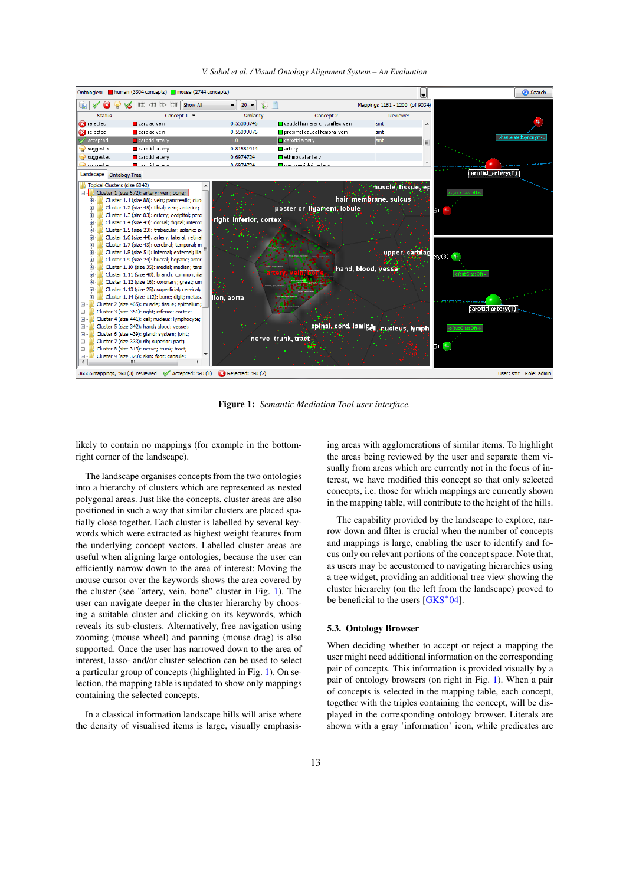*V. Sabol et al. / Visual Ontology Alignment System – An Evaluation*

<span id="page-4-1"></span>

<span id="page-4-0"></span>Figure 1: *Semantic Mediation Tool user interface.*

likely to contain no mappings (for example in the bottomright corner of the landscape).

The landscape organises concepts from the two ontologies into a hierarchy of clusters which are represented as nested polygonal areas. Just like the concepts, cluster areas are also positioned in such a way that similar clusters are placed spatially close together. Each cluster is labelled by several keywords which were extracted as highest weight features from the underlying concept vectors. Labelled cluster areas are useful when aligning large ontologies, because the user can efficiently narrow down to the area of interest: Moving the mouse cursor over the keywords shows the area covered by the cluster (see "artery, vein, bone" cluster in Fig. [1\)](#page-4-0). The user can navigate deeper in the cluster hierarchy by choosing a suitable cluster and clicking on its keywords, which reveals its sub-clusters. Alternatively, free navigation using zooming (mouse wheel) and panning (mouse drag) is also supported. Once the user has narrowed down to the area of interest, lasso- and/or cluster-selection can be used to select a particular group of concepts (highlighted in Fig. [1\)](#page-4-0). On selection, the mapping table is updated to show only mappings containing the selected concepts.

In a classical information landscape hills will arise where the density of visualised items is large, visually emphasis-

ing areas with agglomerations of similar items. To highlight the areas being reviewed by the user and separate them visually from areas which are currently not in the focus of interest, we have modified this concept so that only selected concepts, i.e. those for which mappings are currently shown in the mapping table, will contribute to the height of the hills.

The capability provided by the landscape to explore, narrow down and filter is crucial when the number of concepts and mappings is large, enabling the user to identify and focus only on relevant portions of the concept space. Note that, as users may be accustomed to navigating hierarchies using a tree widget, providing an additional tree view showing the cluster hierarchy (on the left from the landscape) proved to be beneficial to the users [\[GKS](#page-9-33)<sup>\*04]</sup>.

# 5.3. Ontology Browser

When deciding whether to accept or reject a mapping the user might need additional information on the corresponding pair of concepts. This information is provided visually by a pair of ontology browsers (on right in Fig. [1\)](#page-4-0). When a pair of concepts is selected in the mapping table, each concept, together with the triples containing the concept, will be displayed in the corresponding ontology browser. Literals are shown with a gray 'information' icon, while predicates are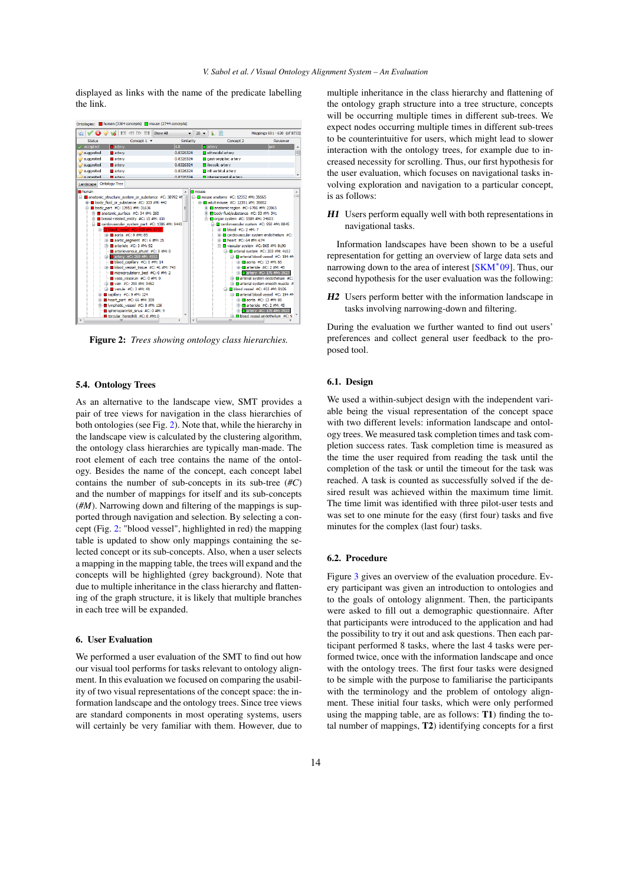<span id="page-5-2"></span>displayed as links with the name of the predicate labelling the link.



<span id="page-5-1"></span>Figure 2: *Trees showing ontology class hierarchies.*

# 5.4. Ontology Trees

As an alternative to the landscape view, SMT provides a pair of tree views for navigation in the class hierarchies of both ontologies (see Fig. [2\)](#page-5-1). Note that, while the hierarchy in the landscape view is calculated by the clustering algorithm, the ontology class hierarchies are typically man-made. The root element of each tree contains the name of the ontology. Besides the name of the concept, each concept label contains the number of sub-concepts in its sub-tree (*#C*) and the number of mappings for itself and its sub-concepts (*#M*). Narrowing down and filtering of the mappings is supported through navigation and selection. By selecting a concept (Fig. [2:](#page-5-1) "blood vessel", highlighted in red) the mapping table is updated to show only mappings containing the selected concept or its sub-concepts. Also, when a user selects a mapping in the mapping table, the trees will expand and the concepts will be highlighted (grey background). Note that due to multiple inheritance in the class hierarchy and flattening of the graph structure, it is likely that multiple branches in each tree will be expanded.

#### <span id="page-5-0"></span>6. User Evaluation

We performed a user evaluation of the SMT to find out how our visual tool performs for tasks relevant to ontology alignment. In this evaluation we focused on comparing the usability of two visual representations of the concept space: the information landscape and the ontology trees. Since tree views are standard components in most operating systems, users will certainly be very familiar with them. However, due to

multiple inheritance in the class hierarchy and flattening of the ontology graph structure into a tree structure, concepts will be occurring multiple times in different sub-trees. We expect nodes occurring multiple times in different sub-trees to be counterintuitive for users, which might lead to slower interaction with the ontology trees, for example due to increased necessity for scrolling. Thus, our first hypothesis for the user evaluation, which focuses on navigational tasks involving exploration and navigation to a particular concept, is as follows:

H1 Users perform equally well with both representations in navigational tasks.

Information landscapes have been shown to be a useful representation for getting an overview of large data sets and narrowing down to the area of interest [\[SKM](#page-9-32)<sup>∗</sup>09]. Thus, our second hypothesis for the user evaluation was the following:

H2 Users perform better with the information landscape in tasks involving narrowing-down and filtering.

During the evaluation we further wanted to find out users' preferences and collect general user feedback to the proposed tool.

#### 6.1. Design

We used a within-subject design with the independent variable being the visual representation of the concept space with two different levels: information landscape and ontology trees. We measured task completion times and task completion success rates. Task completion time is measured as the time the user required from reading the task until the completion of the task or until the timeout for the task was reached. A task is counted as successfully solved if the desired result was achieved within the maximum time limit. The time limit was identified with three pilot-user tests and was set to one minute for the easy (first four) tasks and five minutes for the complex (last four) tasks.

# 6.2. Procedure

Figure [3](#page-6-1) gives an overview of the evaluation procedure. Every participant was given an introduction to ontologies and to the goals of ontology alignment. Then, the participants were asked to fill out a demographic questionnaire. After that participants were introduced to the application and had the possibility to try it out and ask questions. Then each participant performed 8 tasks, where the last 4 tasks were performed twice, once with the information landscape and once with the ontology trees. The first four tasks were designed to be simple with the purpose to familiarise the participants with the terminology and the problem of ontology alignment. These initial four tasks, which were only performed using the mapping table, are as follows: T1) finding the total number of mappings, T2) identifying concepts for a first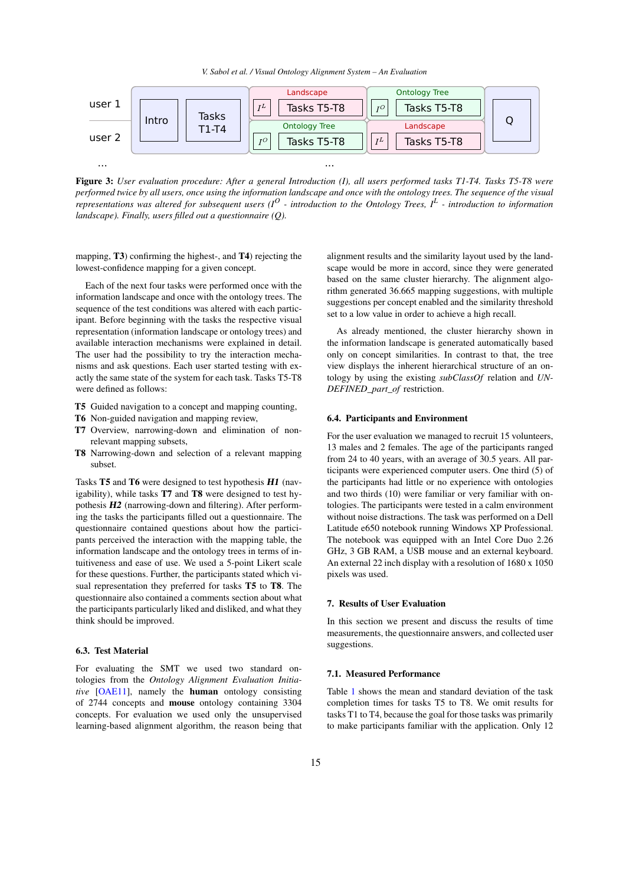*V. Sabol et al. / Visual Ontology Alignment System – An Evaluation*

<span id="page-6-2"></span>

<span id="page-6-1"></span>Figure 3: *User evaluation procedure: After a general Introduction (I), all users performed tasks T1-T4. Tasks T5-T8 were performed twice by all users, once using the information landscape and once with the ontology trees. The sequence of the visual representations was altered for subsequent users (I<sup>O</sup> - introduction to the Ontology Trees, I<sup>L</sup> - introduction to information landscape). Finally, users filled out a questionnaire (Q).*

mapping, T3) confirming the highest-, and T4) rejecting the lowest-confidence mapping for a given concept.

Each of the next four tasks were performed once with the information landscape and once with the ontology trees. The sequence of the test conditions was altered with each participant. Before beginning with the tasks the respective visual representation (information landscape or ontology trees) and available interaction mechanisms were explained in detail. The user had the possibility to try the interaction mechanisms and ask questions. Each user started testing with exactly the same state of the system for each task. Tasks T5-T8 were defined as follows:

- T5 Guided navigation to a concept and mapping counting,
- T6 Non-guided navigation and mapping review,
- T7 Overview, narrowing-down and elimination of nonrelevant mapping subsets,
- T8 Narrowing-down and selection of a relevant mapping subset.

Tasks T5 and T6 were designed to test hypothesis H1 (navigability), while tasks T7 and T8 were designed to test hypothesis H2 (narrowing-down and filtering). After performing the tasks the participants filled out a questionnaire. The questionnaire contained questions about how the participants perceived the interaction with the mapping table, the information landscape and the ontology trees in terms of intuitiveness and ease of use. We used a 5-point Likert scale for these questions. Further, the participants stated which visual representation they preferred for tasks T5 to T8. The questionnaire also contained a comments section about what the participants particularly liked and disliked, and what they think should be improved.

# 6.3. Test Material

For evaluating the SMT we used two standard ontologies from the *Ontology Alignment Evaluation Initiative* [\[OAE11\]](#page-9-3), namely the human ontology consisting of 2744 concepts and mouse ontology containing 3304 concepts. For evaluation we used only the unsupervised learning-based alignment algorithm, the reason being that

alignment results and the similarity layout used by the landscape would be more in accord, since they were generated based on the same cluster hierarchy. The alignment algorithm generated 36.665 mapping suggestions, with multiple suggestions per concept enabled and the similarity threshold set to a low value in order to achieve a high recall.

As already mentioned, the cluster hierarchy shown in the information landscape is generated automatically based only on concept similarities. In contrast to that, the tree view displays the inherent hierarchical structure of an ontology by using the existing *subClassOf* relation and *UN-DEFINED\_part\_of* restriction.

## 6.4. Participants and Environment

For the user evaluation we managed to recruit 15 volunteers, 13 males and 2 females. The age of the participants ranged from 24 to 40 years, with an average of 30.5 years. All participants were experienced computer users. One third (5) of the participants had little or no experience with ontologies and two thirds (10) were familiar or very familiar with ontologies. The participants were tested in a calm environment without noise distractions. The task was performed on a Dell Latitude e650 notebook running Windows XP Professional. The notebook was equipped with an Intel Core Duo 2.26 GHz, 3 GB RAM, a USB mouse and an external keyboard. An external 22 inch display with a resolution of 1680 x 1050 pixels was used.

## <span id="page-6-0"></span>7. Results of User Evaluation

In this section we present and discuss the results of time measurements, the questionnaire answers, and collected user suggestions.

## 7.1. Measured Performance

Table [1](#page-7-0) shows the mean and standard deviation of the task completion times for tasks T5 to T8. We omit results for tasks T1 to T4, because the goal for those tasks was primarily to make participants familiar with the application. Only 12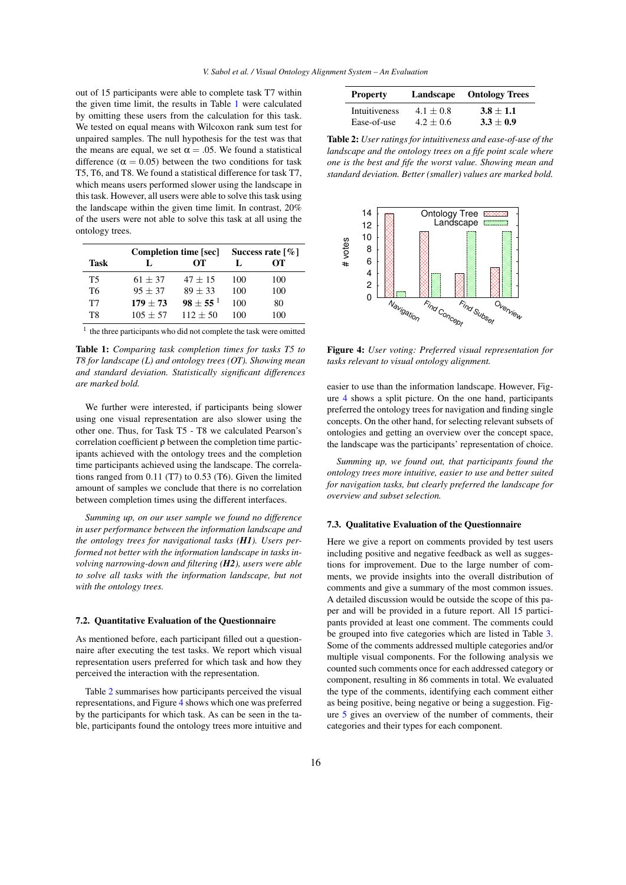out of 15 participants were able to complete task T7 within the given time limit, the results in Table [1](#page-7-0) were calculated by omitting these users from the calculation for this task. We tested on equal means with Wilcoxon rank sum test for unpaired samples. The null hypothesis for the test was that the means are equal, we set  $\alpha = .05$ . We found a statistical difference ( $\alpha = 0.05$ ) between the two conditions for task T5, T6, and T8. We found a statistical difference for task T7, which means users performed slower using the landscape in this task. However, all users were able to solve this task using the landscape within the given time limit. In contrast, 20% of the users were not able to solve this task at all using the ontology trees.

|      |            | Completion time [sec] | Success rate $\lceil \% \rceil$ |     |
|------|------------|-----------------------|---------------------------------|-----|
| Task | L          | OТ                    | Ι.                              | OТ  |
| T5   | $61 + 37$  | $47 + 15$             | 100                             | 100 |
| T6   | $95 + 37$  | $89 + 33$             | 100                             | 100 |
| T7   | $179 + 73$ | $98 \pm 55^{\,1}$     | 100                             | 80  |
| T8   | $105 + 57$ | $112 + 50$            | 100                             | 100 |

<span id="page-7-0"></span><sup>1</sup> the three participants who did not complete the task were omitted

Table 1: *Comparing task completion times for tasks T5 to T8 for landscape (L) and ontology trees (OT). Showing mean and standard deviation. Statistically significant differences are marked bold.*

We further were interested, if participants being slower using one visual representation are also slower using the other one. Thus, for Task T5 - T8 we calculated Pearson's correlation coefficient ρ between the completion time participants achieved with the ontology trees and the completion time participants achieved using the landscape. The correlations ranged from 0.11 (T7) to 0.53 (T6). Given the limited amount of samples we conclude that there is no correlation between completion times using the different interfaces.

*Summing up, on our user sample we found no difference in user performance between the information landscape and the ontology trees for navigational tasks (H1). Users performed not better with the information landscape in tasks involving narrowing-down and filtering (H2), users were able to solve all tasks with the information landscape, but not with the ontology trees.*

#### 7.2. Quantitative Evaluation of the Questionnaire

As mentioned before, each participant filled out a questionnaire after executing the test tasks. We report which visual representation users preferred for which task and how they perceived the interaction with the representation.

Table [2](#page-7-1) summarises how participants perceived the visual representations, and Figure [4](#page-7-2) shows which one was preferred by the participants for which task. As can be seen in the table, participants found the ontology trees more intuitive and

| <b>Property</b>      | Landscape   | <b>Ontology Trees</b> |  |
|----------------------|-------------|-----------------------|--|
| <b>Intuitiveness</b> | $4.1 + 0.8$ | $3.8 + 1.1$           |  |
| Ease-of-use          | $4.2 + 0.6$ | $3.3 + 0.9$           |  |

<span id="page-7-1"></span>Table 2: *User ratings for intuitiveness and ease-of-use of the landscape and the ontology trees on a fife point scale where one is the best and fife the worst value. Showing mean and standard deviation. Better (smaller) values are marked bold.*



<span id="page-7-2"></span>Figure 4: *User voting: Preferred visual representation for tasks relevant to visual ontology alignment.*

easier to use than the information landscape. However, Figure [4](#page-7-2) shows a split picture. On the one hand, participants preferred the ontology trees for navigation and finding single concepts. On the other hand, for selecting relevant subsets of ontologies and getting an overview over the concept space, the landscape was the participants' representation of choice.

*Summing up, we found out, that participants found the ontology trees more intuitive, easier to use and better suited for navigation tasks, but clearly preferred the landscape for overview and subset selection.*

## 7.3. Qualitative Evaluation of the Questionnaire

Here we give a report on comments provided by test users including positive and negative feedback as well as suggestions for improvement. Due to the large number of comments, we provide insights into the overall distribution of comments and give a summary of the most common issues. A detailed discussion would be outside the scope of this paper and will be provided in a future report. All 15 participants provided at least one comment. The comments could be grouped into five categories which are listed in Table [3.](#page-8-1) Some of the comments addressed multiple categories and/or multiple visual components. For the following analysis we counted such comments once for each addressed category or component, resulting in 86 comments in total. We evaluated the type of the comments, identifying each comment either as being positive, being negative or being a suggestion. Figure [5](#page-8-2) gives an overview of the number of comments, their categories and their types for each component.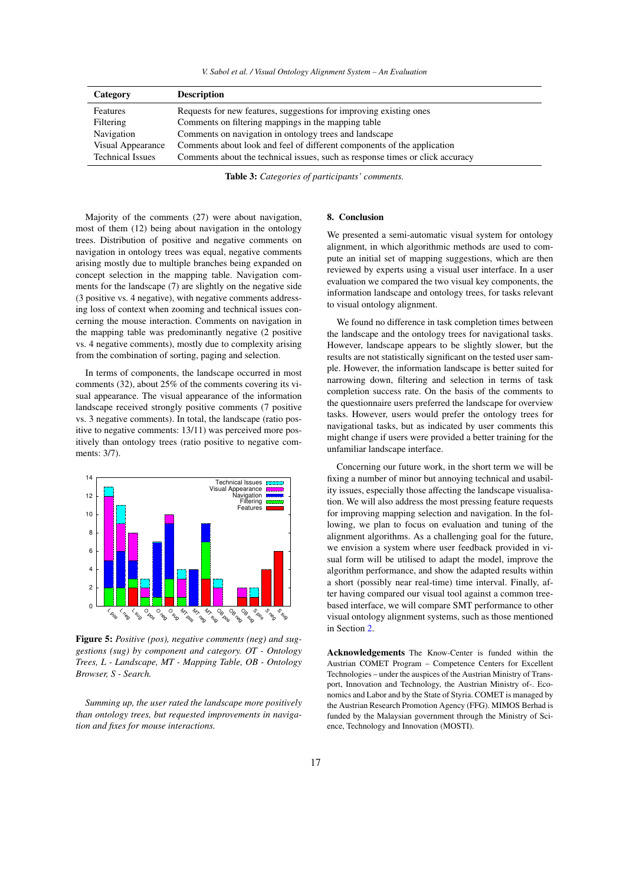|  |  |  |  |  |  | V. Sabol et al. / Visual Ontology Alignment System - An Evaluation |
|--|--|--|--|--|--|--------------------------------------------------------------------|
|--|--|--|--|--|--|--------------------------------------------------------------------|

| Category                | <b>Description</b>                                                            |
|-------------------------|-------------------------------------------------------------------------------|
| Features                | Requests for new features, suggestions for improving existing ones            |
| Filtering               | Comments on filtering mappings in the mapping table                           |
| Navigation              | Comments on navigation in ontology trees and landscape                        |
| Visual Appearance       | Comments about look and feel of different components of the application       |
| <b>Technical Issues</b> | Comments about the technical issues, such as response times or click accuracy |

<span id="page-8-1"></span>Table 3: *Categories of participants' comments.*

Majority of the comments (27) were about navigation, most of them (12) being about navigation in the ontology trees. Distribution of positive and negative comments on navigation in ontology trees was equal, negative comments arising mostly due to multiple branches being expanded on concept selection in the mapping table. Navigation comments for the landscape (7) are slightly on the negative side (3 positive vs. 4 negative), with negative comments addressing loss of context when zooming and technical issues concerning the mouse interaction. Comments on navigation in the mapping table was predominantly negative (2 positive vs. 4 negative comments), mostly due to complexity arising from the combination of sorting, paging and selection.

In terms of components, the landscape occurred in most comments (32), about 25% of the comments covering its visual appearance. The visual appearance of the information landscape received strongly positive comments (7 positive vs. 3 negative comments). In total, the landscape (ratio positive to negative comments: 13/11) was perceived more positively than ontology trees (ratio positive to negative comments: 3/7).



<span id="page-8-2"></span>Figure 5: *Positive (pos), negative comments (neg) and suggestions (sug) by component and category. OT - Ontology Trees, L - Landscape, MT - Mapping Table, OB - Ontology Browser, S - Search.*

*Summing up, the user rated the landscape more positively than ontology trees, but requested improvements in navigation and fixes for mouse interactions.*

## <span id="page-8-0"></span>8. Conclusion

We presented a semi-automatic visual system for ontology alignment, in which algorithmic methods are used to compute an initial set of mapping suggestions, which are then reviewed by experts using a visual user interface. In a user evaluation we compared the two visual key components, the information landscape and ontology trees, for tasks relevant to visual ontology alignment.

We found no difference in task completion times between the landscape and the ontology trees for navigational tasks. However, landscape appears to be slightly slower, but the results are not statistically significant on the tested user sample. However, the information landscape is better suited for narrowing down, filtering and selection in terms of task completion success rate. On the basis of the comments to the questionnaire users preferred the landscape for overview tasks. However, users would prefer the ontology trees for navigational tasks, but as indicated by user comments this might change if users were provided a better training for the unfamiliar landscape interface.

Concerning our future work, in the short term we will be fixing a number of minor but annoying technical and usability issues, especially those affecting the landscape visualisation. We will also address the most pressing feature requests for improving mapping selection and navigation. In the following, we plan to focus on evaluation and tuning of the alignment algorithms. As a challenging goal for the future, we envision a system where user feedback provided in visual form will be utilised to adapt the model, improve the algorithm performance, and show the adapted results within a short (possibly near real-time) time interval. Finally, after having compared our visual tool against a common treebased interface, we will compare SMT performance to other visual ontology alignment systems, such as those mentioned in Section [2.](#page-1-0)

Acknowledgements The Know-Center is funded within the Austrian COMET Program – Competence Centers for Excellent Technologies – under the auspices of the Austrian Ministry of Transport, Innovation and Technology, the Austrian Ministry of-. Economics and Labor and by the State of Styria. COMET is managed by the Austrian Research Promotion Agency (FFG). MIMOS Berhad is funded by the Malaysian government through the Ministry of Science, Technology and Innovation (MOSTI).